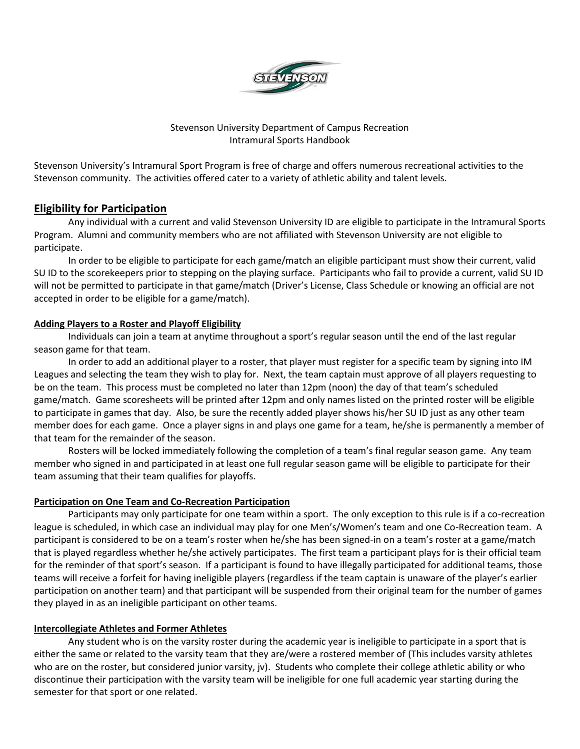

Stevenson University Department of Campus Recreation Intramural Sports Handbook

Stevenson University's Intramural Sport Program is free of charge and offers numerous recreational activities to the Stevenson community. The activities offered cater to a variety of athletic ability and talent levels.

### **Eligibility for Participation**

Any individual with a current and valid Stevenson University ID are eligible to participate in the Intramural Sports Program. Alumni and community members who are not affiliated with Stevenson University are not eligible to participate.

In order to be eligible to participate for each game/match an eligible participant must show their current, valid SU ID to the scorekeepers prior to stepping on the playing surface. Participants who fail to provide a current, valid SU ID will not be permitted to participate in that game/match (Driver's License, Class Schedule or knowing an official are not accepted in order to be eligible for a game/match).

#### **Adding Players to a Roster and Playoff Eligibility**

Individuals can join a team at anytime throughout a sport's regular season until the end of the last regular season game for that team.

In order to add an additional player to a roster, that player must register for a specific team by signing into IM Leagues and selecting the team they wish to play for. Next, the team captain must approve of all players requesting to be on the team. This process must be completed no later than 12pm (noon) the day of that team's scheduled game/match. Game scoresheets will be printed after 12pm and only names listed on the printed roster will be eligible to participate in games that day. Also, be sure the recently added player shows his/her SU ID just as any other team member does for each game. Once a player signs in and plays one game for a team, he/she is permanently a member of that team for the remainder of the season.

Rosters will be locked immediately following the completion of a team's final regular season game. Any team member who signed in and participated in at least one full regular season game will be eligible to participate for their team assuming that their team qualifies for playoffs.

### **Participation on One Team and Co-Recreation Participation**

Participants may only participate for one team within a sport. The only exception to this rule is if a co-recreation league is scheduled, in which case an individual may play for one Men's/Women's team and one Co-Recreation team. A participant is considered to be on a team's roster when he/she has been signed-in on a team's roster at a game/match that is played regardless whether he/she actively participates. The first team a participant plays for is their official team for the reminder of that sport's season. If a participant is found to have illegally participated for additional teams, those teams will receive a forfeit for having ineligible players (regardless if the team captain is unaware of the player's earlier participation on another team) and that participant will be suspended from their original team for the number of games they played in as an ineligible participant on other teams.

#### **Intercollegiate Athletes and Former Athletes**

Any student who is on the varsity roster during the academic year is ineligible to participate in a sport that is either the same or related to the varsity team that they are/were a rostered member of (This includes varsity athletes who are on the roster, but considered junior varsity, jv). Students who complete their college athletic ability or who discontinue their participation with the varsity team will be ineligible for one full academic year starting during the semester for that sport or one related.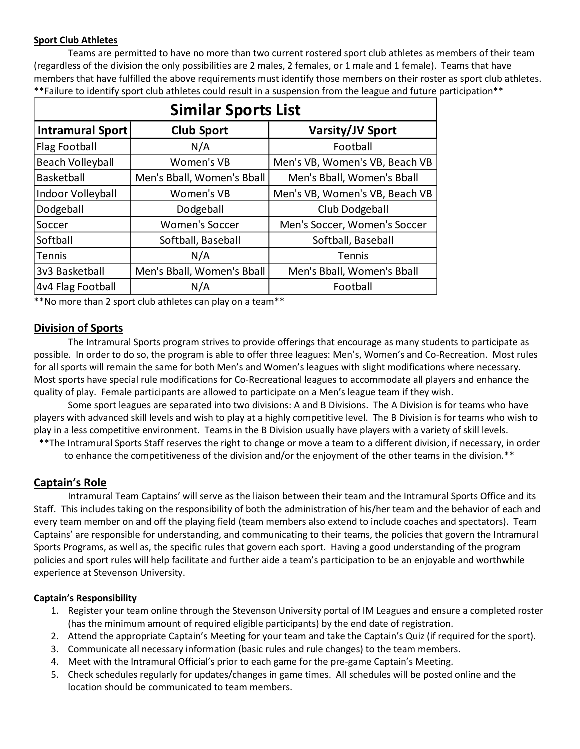### **Sport Club Athletes**

Teams are permitted to have no more than two current rostered sport club athletes as members of their team (regardless of the division the only possibilities are 2 males, 2 females, or 1 male and 1 female). Teams that have members that have fulfilled the above requirements must identify those members on their roster as sport club athletes. \*\*Failure to identify sport club athletes could result in a suspension from the league and future participation\*\*

| <b>Similar Sports List</b> |                            |                                |  |  |
|----------------------------|----------------------------|--------------------------------|--|--|
| Intramural Sport           | <b>Club Sport</b>          | Varsity/JV Sport               |  |  |
| <b>Flag Football</b>       | N/A                        | Football                       |  |  |
| <b>Beach Volleyball</b>    | <b>Women's VB</b>          | Men's VB, Women's VB, Beach VB |  |  |
| <b>Basketball</b>          | Men's Bball, Women's Bball | Men's Bball, Women's Bball     |  |  |
| Indoor Volleyball          | <b>Women's VB</b>          | Men's VB, Women's VB, Beach VB |  |  |
| Dodgeball                  | Dodgeball                  | Club Dodgeball                 |  |  |
| Soccer                     | <b>Women's Soccer</b>      | Men's Soccer, Women's Soccer   |  |  |
| Softball                   | Softball, Baseball         | Softball, Baseball             |  |  |
| <b>Tennis</b>              | N/A                        | <b>Tennis</b>                  |  |  |
| 3v3 Basketball             | Men's Bball, Women's Bball | Men's Bball, Women's Bball     |  |  |
| 4v4 Flag Football          | N/A                        | Football                       |  |  |

\*\*No more than 2 sport club athletes can play on a team\*\*

## **Division of Sports**

The Intramural Sports program strives to provide offerings that encourage as many students to participate as possible. In order to do so, the program is able to offer three leagues: Men's, Women's and Co-Recreation. Most rules for all sports will remain the same for both Men's and Women's leagues with slight modifications where necessary. Most sports have special rule modifications for Co-Recreational leagues to accommodate all players and enhance the quality of play. Female participants are allowed to participate on a Men's league team if they wish.

Some sport leagues are separated into two divisions: A and B Divisions. The A Division is for teams who have players with advanced skill levels and wish to play at a highly competitive level. The B Division is for teams who wish to play in a less competitive environment. Teams in the B Division usually have players with a variety of skill levels.

\*\*The Intramural Sports Staff reserves the right to change or move a team to a different division, if necessary, in order to enhance the competitiveness of the division and/or the enjoyment of the other teams in the division.\*\*

## **Captain's Role**

Intramural Team Captains' will serve as the liaison between their team and the Intramural Sports Office and its Staff. This includes taking on the responsibility of both the administration of his/her team and the behavior of each and every team member on and off the playing field (team members also extend to include coaches and spectators). Team Captains' are responsible for understanding, and communicating to their teams, the policies that govern the Intramural Sports Programs, as well as, the specific rules that govern each sport. Having a good understanding of the program policies and sport rules will help facilitate and further aide a team's participation to be an enjoyable and worthwhile experience at Stevenson University.

## **Captain's Responsibility**

- 1. Register your team online through the Stevenson University portal of IM Leagues and ensure a completed roster (has the minimum amount of required eligible participants) by the end date of registration.
- 2. Attend the appropriate Captain's Meeting for your team and take the Captain's Quiz (if required for the sport).
- 3. Communicate all necessary information (basic rules and rule changes) to the team members.
- 4. Meet with the Intramural Official's prior to each game for the pre-game Captain's Meeting.
- 5. Check schedules regularly for updates/changes in game times. All schedules will be posted online and the location should be communicated to team members.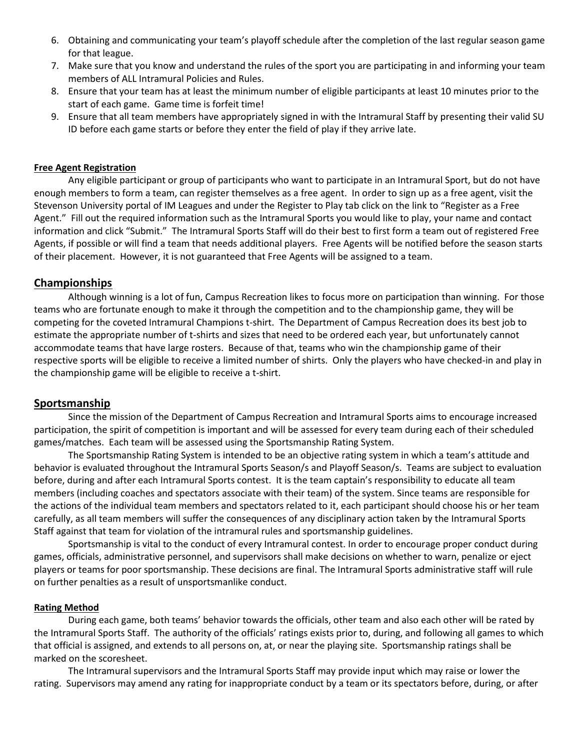- 6. Obtaining and communicating your team's playoff schedule after the completion of the last regular season game for that league.
- 7. Make sure that you know and understand the rules of the sport you are participating in and informing your team members of ALL Intramural Policies and Rules.
- 8. Ensure that your team has at least the minimum number of eligible participants at least 10 minutes prior to the start of each game. Game time is forfeit time!
- 9. Ensure that all team members have appropriately signed in with the Intramural Staff by presenting their valid SU ID before each game starts or before they enter the field of play if they arrive late.

#### **Free Agent Registration**

Any eligible participant or group of participants who want to participate in an Intramural Sport, but do not have enough members to form a team, can register themselves as a free agent. In order to sign up as a free agent, visit the Stevenson University portal of IM Leagues and under the Register to Play tab click on the link to "Register as a Free Agent." Fill out the required information such as the Intramural Sports you would like to play, your name and contact information and click "Submit." The Intramural Sports Staff will do their best to first form a team out of registered Free Agents, if possible or will find a team that needs additional players. Free Agents will be notified before the season starts of their placement. However, it is not guaranteed that Free Agents will be assigned to a team.

### **Championships**

Although winning is a lot of fun, Campus Recreation likes to focus more on participation than winning. For those teams who are fortunate enough to make it through the competition and to the championship game, they will be competing for the coveted Intramural Champions t-shirt. The Department of Campus Recreation does its best job to estimate the appropriate number of t-shirts and sizes that need to be ordered each year, but unfortunately cannot accommodate teams that have large rosters. Because of that, teams who win the championship game of their respective sports will be eligible to receive a limited number of shirts. Only the players who have checked-in and play in the championship game will be eligible to receive a t-shirt.

### **Sportsmanship**

Since the mission of the Department of Campus Recreation and Intramural Sports aims to encourage increased participation, the spirit of competition is important and will be assessed for every team during each of their scheduled games/matches. Each team will be assessed using the Sportsmanship Rating System.

The Sportsmanship Rating System is intended to be an objective rating system in which a team's attitude and behavior is evaluated throughout the Intramural Sports Season/s and Playoff Season/s. Teams are subject to evaluation before, during and after each Intramural Sports contest. It is the team captain's responsibility to educate all team members (including coaches and spectators associate with their team) of the system. Since teams are responsible for the actions of the individual team members and spectators related to it, each participant should choose his or her team carefully, as all team members will suffer the consequences of any disciplinary action taken by the Intramural Sports Staff against that team for violation of the intramural rules and sportsmanship guidelines.

Sportsmanship is vital to the conduct of every Intramural contest. In order to encourage proper conduct during games, officials, administrative personnel, and supervisors shall make decisions on whether to warn, penalize or eject players or teams for poor sportsmanship. These decisions are final. The Intramural Sports administrative staff will rule on further penalties as a result of unsportsmanlike conduct.

#### **Rating Method**

During each game, both teams' behavior towards the officials, other team and also each other will be rated by the Intramural Sports Staff. The authority of the officials' ratings exists prior to, during, and following all games to which that official is assigned, and extends to all persons on, at, or near the playing site. Sportsmanship ratings shall be marked on the scoresheet.

The Intramural supervisors and the Intramural Sports Staff may provide input which may raise or lower the rating. Supervisors may amend any rating for inappropriate conduct by a team or its spectators before, during, or after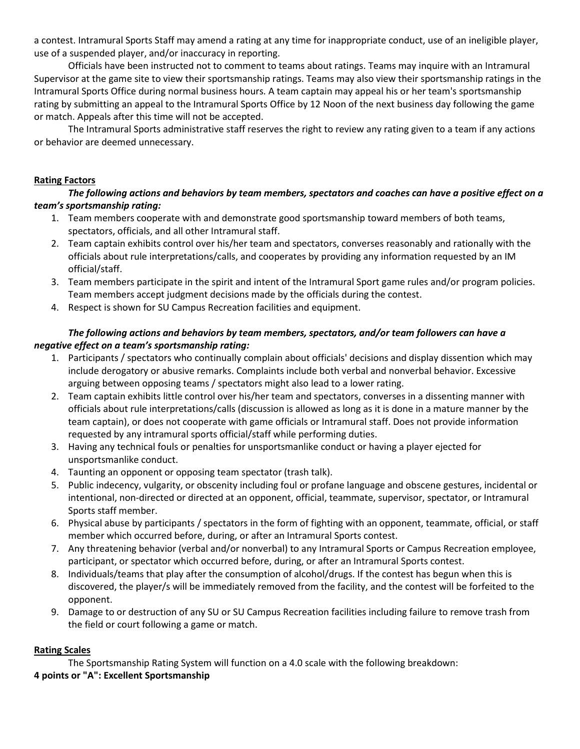a contest. Intramural Sports Staff may amend a rating at any time for inappropriate conduct, use of an ineligible player, use of a suspended player, and/or inaccuracy in reporting.

Officials have been instructed not to comment to teams about ratings. Teams may inquire with an Intramural Supervisor at the game site to view their sportsmanship ratings. Teams may also view their sportsmanship ratings in the Intramural Sports Office during normal business hours. A team captain may appeal his or her team's sportsmanship rating by submitting an appeal to the Intramural Sports Office by 12 Noon of the next business day following the game or match. Appeals after this time will not be accepted.

The Intramural Sports administrative staff reserves the right to review any rating given to a team if any actions or behavior are deemed unnecessary.

### **Rating Factors**

*The following actions and behaviors by team members, spectators and coaches can have a positive effect on a team's sportsmanship rating:*

- 1. Team members cooperate with and demonstrate good sportsmanship toward members of both teams, spectators, officials, and all other Intramural staff.
- 2. Team captain exhibits control over his/her team and spectators, converses reasonably and rationally with the officials about rule interpretations/calls, and cooperates by providing any information requested by an IM official/staff.
- 3. Team members participate in the spirit and intent of the Intramural Sport game rules and/or program policies. Team members accept judgment decisions made by the officials during the contest.
- 4. Respect is shown for SU Campus Recreation facilities and equipment.

## *The following actions and behaviors by team members, spectators, and/or team followers can have a negative effect on a team's sportsmanship rating:*

- 1. Participants / spectators who continually complain about officials' decisions and display dissention which may include derogatory or abusive remarks. Complaints include both verbal and nonverbal behavior. Excessive arguing between opposing teams / spectators might also lead to a lower rating.
- 2. Team captain exhibits little control over his/her team and spectators, converses in a dissenting manner with officials about rule interpretations/calls (discussion is allowed as long as it is done in a mature manner by the team captain), or does not cooperate with game officials or Intramural staff. Does not provide information requested by any intramural sports official/staff while performing duties.
- 3. Having any technical fouls or penalties for unsportsmanlike conduct or having a player ejected for unsportsmanlike conduct.
- 4. Taunting an opponent or opposing team spectator (trash talk).
- 5. Public indecency, vulgarity, or obscenity including foul or profane language and obscene gestures, incidental or intentional, non-directed or directed at an opponent, official, teammate, supervisor, spectator, or Intramural Sports staff member.
- 6. Physical abuse by participants / spectators in the form of fighting with an opponent, teammate, official, or staff member which occurred before, during, or after an Intramural Sports contest.
- 7. Any threatening behavior (verbal and/or nonverbal) to any Intramural Sports or Campus Recreation employee, participant, or spectator which occurred before, during, or after an Intramural Sports contest.
- 8. Individuals/teams that play after the consumption of alcohol/drugs. If the contest has begun when this is discovered, the player/s will be immediately removed from the facility, and the contest will be forfeited to the opponent.
- 9. Damage to or destruction of any SU or SU Campus Recreation facilities including failure to remove trash from the field or court following a game or match.

## **Rating Scales**

The Sportsmanship Rating System will function on a 4.0 scale with the following breakdown:

## **4 points or "A": Excellent Sportsmanship**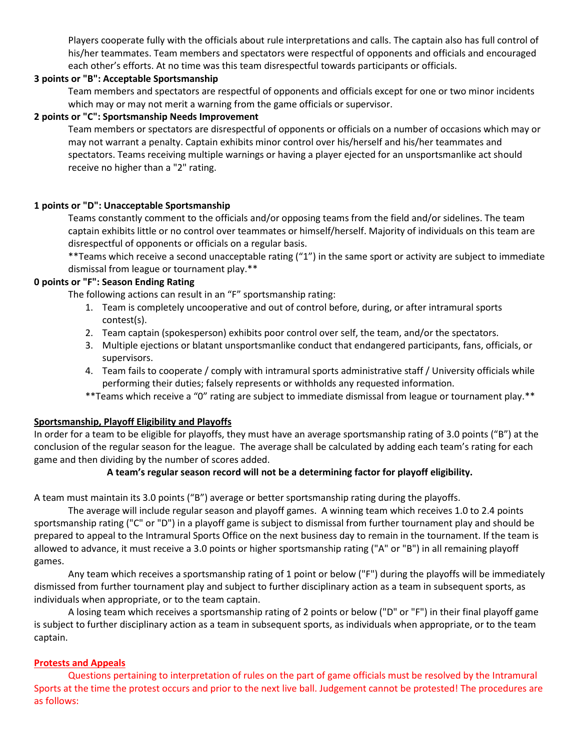Players cooperate fully with the officials about rule interpretations and calls. The captain also has full control of his/her teammates. Team members and spectators were respectful of opponents and officials and encouraged each other's efforts. At no time was this team disrespectful towards participants or officials.

### **3 points or "B": Acceptable Sportsmanship**

Team members and spectators are respectful of opponents and officials except for one or two minor incidents which may or may not merit a warning from the game officials or supervisor.

### **2 points or "C": Sportsmanship Needs Improvement**

Team members or spectators are disrespectful of opponents or officials on a number of occasions which may or may not warrant a penalty. Captain exhibits minor control over his/herself and his/her teammates and spectators. Teams receiving multiple warnings or having a player ejected for an unsportsmanlike act should receive no higher than a "2" rating.

### **1 points or "D": Unacceptable Sportsmanship**

Teams constantly comment to the officials and/or opposing teams from the field and/or sidelines. The team captain exhibits little or no control over teammates or himself/herself. Majority of individuals on this team are disrespectful of opponents or officials on a regular basis.

\*\*Teams which receive a second unacceptable rating ("1") in the same sport or activity are subject to immediate dismissal from league or tournament play.\*\*

### **0 points or "F": Season Ending Rating**

The following actions can result in an "F" sportsmanship rating:

- 1. Team is completely uncooperative and out of control before, during, or after intramural sports contest(s).
- 2. Team captain (spokesperson) exhibits poor control over self, the team, and/or the spectators.
- 3. Multiple ejections or blatant unsportsmanlike conduct that endangered participants, fans, officials, or supervisors.
- 4. Team fails to cooperate / comply with intramural sports administrative staff / University officials while performing their duties; falsely represents or withholds any requested information.
- \*\*Teams which receive a "0" rating are subject to immediate dismissal from league or tournament play.\*\*

### **Sportsmanship, Playoff Eligibility and Playoffs**

In order for a team to be eligible for playoffs, they must have an average sportsmanship rating of 3.0 points ("B") at the conclusion of the regular season for the league. The average shall be calculated by adding each team's rating for each game and then dividing by the number of scores added.

### **A team's regular season record will not be a determining factor for playoff eligibility.**

A team must maintain its 3.0 points ("B") average or better sportsmanship rating during the playoffs.

The average will include regular season and playoff games. A winning team which receives 1.0 to 2.4 points sportsmanship rating ("C" or "D") in a playoff game is subject to dismissal from further tournament play and should be prepared to appeal to the Intramural Sports Office on the next business day to remain in the tournament. If the team is allowed to advance, it must receive a 3.0 points or higher sportsmanship rating ("A" or "B") in all remaining playoff games.

Any team which receives a sportsmanship rating of 1 point or below ("F") during the playoffs will be immediately dismissed from further tournament play and subject to further disciplinary action as a team in subsequent sports, as individuals when appropriate, or to the team captain.

A losing team which receives a sportsmanship rating of 2 points or below ("D" or "F") in their final playoff game is subject to further disciplinary action as a team in subsequent sports, as individuals when appropriate, or to the team captain.

### **Protests and Appeals**

Questions pertaining to interpretation of rules on the part of game officials must be resolved by the Intramural Sports at the time the protest occurs and prior to the next live ball. Judgement cannot be protested! The procedures are as follows: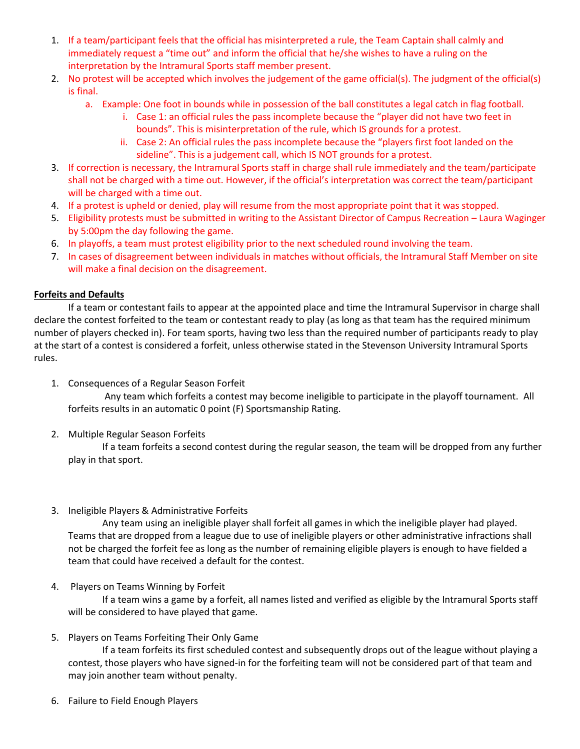- 1. If a team/participant feels that the official has misinterpreted a rule, the Team Captain shall calmly and immediately request a "time out" and inform the official that he/she wishes to have a ruling on the interpretation by the Intramural Sports staff member present.
- 2. No protest will be accepted which involves the judgement of the game official(s). The judgment of the official(s) is final.
	- a. Example: One foot in bounds while in possession of the ball constitutes a legal catch in flag football.
		- i. Case 1: an official rules the pass incomplete because the "player did not have two feet in bounds". This is misinterpretation of the rule, which IS grounds for a protest.
		- ii. Case 2: An official rules the pass incomplete because the "players first foot landed on the sideline". This is a judgement call, which IS NOT grounds for a protest.
- 3. If correction is necessary, the Intramural Sports staff in charge shall rule immediately and the team/participate shall not be charged with a time out. However, if the official's interpretation was correct the team/participant will be charged with a time out.
- 4. If a protest is upheld or denied, play will resume from the most appropriate point that it was stopped.
- 5. Eligibility protests must be submitted in writing to the Assistant Director of Campus Recreation Laura Waginger by 5:00pm the day following the game.
- 6. In playoffs, a team must protest eligibility prior to the next scheduled round involving the team.
- 7. In cases of disagreement between individuals in matches without officials, the Intramural Staff Member on site will make a final decision on the disagreement.

## **Forfeits and Defaults**

If a team or contestant fails to appear at the appointed place and time the Intramural Supervisor in charge shall declare the contest forfeited to the team or contestant ready to play (as long as that team has the required minimum number of players checked in). For team sports, having two less than the required number of participants ready to play at the start of a contest is considered a forfeit, unless otherwise stated in the Stevenson University Intramural Sports rules.

1. Consequences of a Regular Season Forfeit

Any team which forfeits a contest may become ineligible to participate in the playoff tournament. All forfeits results in an automatic 0 point (F) Sportsmanship Rating.

# 2. Multiple Regular Season Forfeits

If a team forfeits a second contest during the regular season, the team will be dropped from any further play in that sport.

3. Ineligible Players & Administrative Forfeits

Any team using an ineligible player shall forfeit all games in which the ineligible player had played. Teams that are dropped from a league due to use of ineligible players or other administrative infractions shall not be charged the forfeit fee as long as the number of remaining eligible players is enough to have fielded a team that could have received a default for the contest.

4. Players on Teams Winning by Forfeit

If a team wins a game by a forfeit, all names listed and verified as eligible by the Intramural Sports staff will be considered to have played that game.

5. Players on Teams Forfeiting Their Only Game

If a team forfeits its first scheduled contest and subsequently drops out of the league without playing a contest, those players who have signed-in for the forfeiting team will not be considered part of that team and may join another team without penalty.

6. Failure to Field Enough Players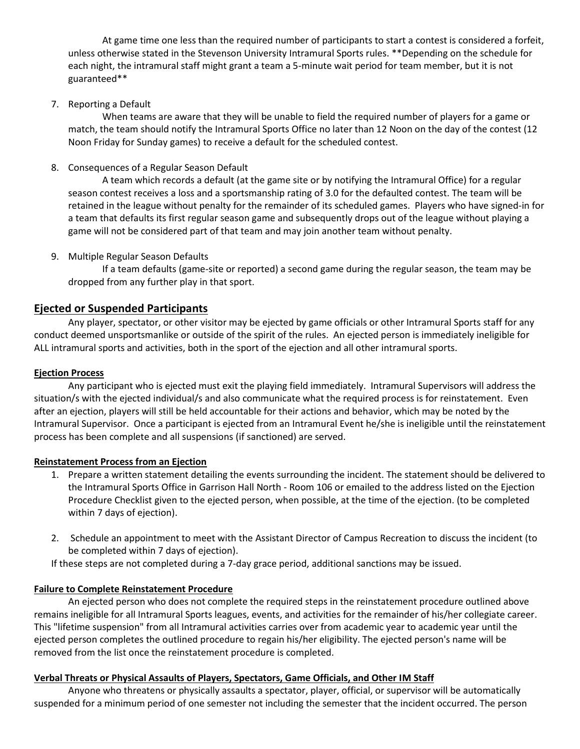At game time one less than the required number of participants to start a contest is considered a forfeit, unless otherwise stated in the Stevenson University Intramural Sports rules. \*\*Depending on the schedule for each night, the intramural staff might grant a team a 5-minute wait period for team member, but it is not guaranteed\*\*

7. Reporting a Default

When teams are aware that they will be unable to field the required number of players for a game or match, the team should notify the Intramural Sports Office no later than 12 Noon on the day of the contest (12 Noon Friday for Sunday games) to receive a default for the scheduled contest.

8. Consequences of a Regular Season Default

A team which records a default (at the game site or by notifying the Intramural Office) for a regular season contest receives a loss and a sportsmanship rating of 3.0 for the defaulted contest. The team will be retained in the league without penalty for the remainder of its scheduled games. Players who have signed-in for a team that defaults its first regular season game and subsequently drops out of the league without playing a game will not be considered part of that team and may join another team without penalty.

9. Multiple Regular Season Defaults

If a team defaults (game-site or reported) a second game during the regular season, the team may be dropped from any further play in that sport.

## **Ejected or Suspended Participants**

Any player, spectator, or other visitor may be ejected by game officials or other Intramural Sports staff for any conduct deemed unsportsmanlike or outside of the spirit of the rules. An ejected person is immediately ineligible for ALL intramural sports and activities, both in the sport of the ejection and all other intramural sports.

### **Ejection Process**

Any participant who is ejected must exit the playing field immediately. Intramural Supervisors will address the situation/s with the ejected individual/s and also communicate what the required process is for reinstatement. Even after an ejection, players will still be held accountable for their actions and behavior, which may be noted by the Intramural Supervisor. Once a participant is ejected from an Intramural Event he/she is ineligible until the reinstatement process has been complete and all suspensions (if sanctioned) are served.

### **Reinstatement Process from an Ejection**

- 1. Prepare a written statement detailing the events surrounding the incident. The statement should be delivered to the Intramural Sports Office in Garrison Hall North - Room 106 or emailed to the address listed on the Ejection Procedure Checklist given to the ejected person, when possible, at the time of the ejection. (to be completed within 7 days of ejection).
- 2. Schedule an appointment to meet with the Assistant Director of Campus Recreation to discuss the incident (to be completed within 7 days of ejection).

If these steps are not completed during a 7-day grace period, additional sanctions may be issued.

## **Failure to Complete Reinstatement Procedure**

An ejected person who does not complete the required steps in the reinstatement procedure outlined above remains ineligible for all Intramural Sports leagues, events, and activities for the remainder of his/her collegiate career. This "lifetime suspension" from all Intramural activities carries over from academic year to academic year until the ejected person completes the outlined procedure to regain his/her eligibility. The ejected person's name will be removed from the list once the reinstatement procedure is completed.

### **Verbal Threats or Physical Assaults of Players, Spectators, Game Officials, and Other IM Staff**

Anyone who threatens or physically assaults a spectator, player, official, or supervisor will be automatically suspended for a minimum period of one semester not including the semester that the incident occurred. The person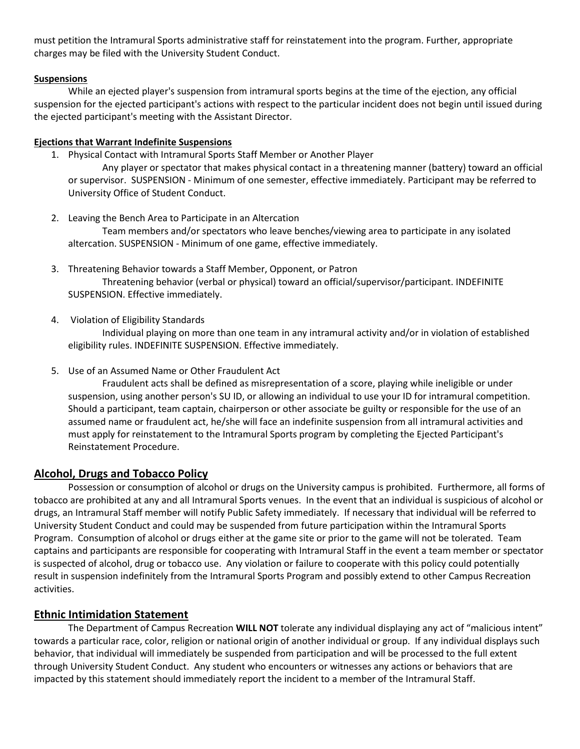must petition the Intramural Sports administrative staff for reinstatement into the program. Further, appropriate charges may be filed with the University Student Conduct.

### **Suspensions**

While an ejected player's suspension from intramural sports begins at the time of the ejection, any official suspension for the ejected participant's actions with respect to the particular incident does not begin until issued during the ejected participant's meeting with the Assistant Director.

### **Ejections that Warrant Indefinite Suspensions**

1. Physical Contact with Intramural Sports Staff Member or Another Player

Any player or spectator that makes physical contact in a threatening manner (battery) toward an official or supervisor. SUSPENSION - Minimum of one semester, effective immediately. Participant may be referred to University Office of Student Conduct.

- 2. Leaving the Bench Area to Participate in an Altercation Team members and/or spectators who leave benches/viewing area to participate in any isolated altercation. SUSPENSION - Minimum of one game, effective immediately.
- 3. Threatening Behavior towards a Staff Member, Opponent, or Patron Threatening behavior (verbal or physical) toward an official/supervisor/participant. INDEFINITE SUSPENSION. Effective immediately.
- 4. Violation of Eligibility Standards

Individual playing on more than one team in any intramural activity and/or in violation of established eligibility rules. INDEFINITE SUSPENSION. Effective immediately.

5. Use of an Assumed Name or Other Fraudulent Act

Fraudulent acts shall be defined as misrepresentation of a score, playing while ineligible or under suspension, using another person's SU ID, or allowing an individual to use your ID for intramural competition. Should a participant, team captain, chairperson or other associate be guilty or responsible for the use of an assumed name or fraudulent act, he/she will face an indefinite suspension from all intramural activities and must apply for reinstatement to the Intramural Sports program by completing the Ejected Participant's Reinstatement Procedure.

## **Alcohol, Drugs and Tobacco Policy**

Possession or consumption of alcohol or drugs on the University campus is prohibited. Furthermore, all forms of tobacco are prohibited at any and all Intramural Sports venues. In the event that an individual is suspicious of alcohol or drugs, an Intramural Staff member will notify Public Safety immediately. If necessary that individual will be referred to University Student Conduct and could may be suspended from future participation within the Intramural Sports Program. Consumption of alcohol or drugs either at the game site or prior to the game will not be tolerated. Team captains and participants are responsible for cooperating with Intramural Staff in the event a team member or spectator is suspected of alcohol, drug or tobacco use. Any violation or failure to cooperate with this policy could potentially result in suspension indefinitely from the Intramural Sports Program and possibly extend to other Campus Recreation activities.

## **Ethnic Intimidation Statement**

The Department of Campus Recreation **WILL NOT** tolerate any individual displaying any act of "malicious intent" towards a particular race, color, religion or national origin of another individual or group. If any individual displays such behavior, that individual will immediately be suspended from participation and will be processed to the full extent through University Student Conduct. Any student who encounters or witnesses any actions or behaviors that are impacted by this statement should immediately report the incident to a member of the Intramural Staff.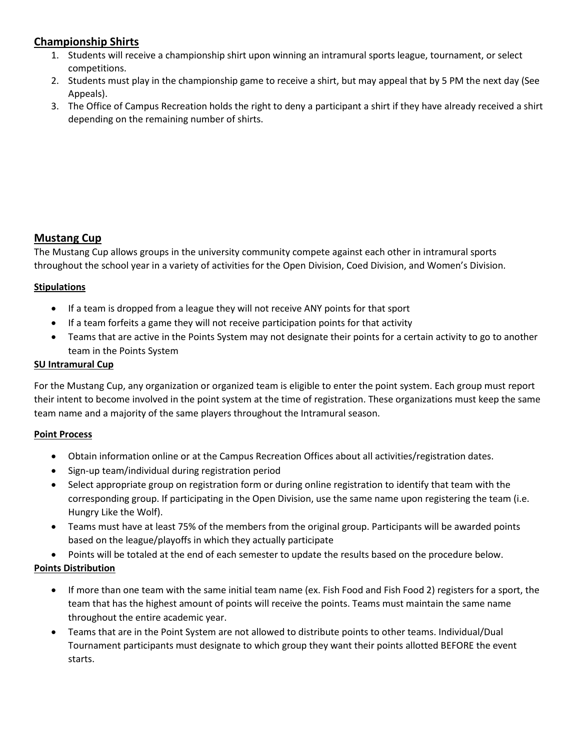# **Championship Shirts**

- 1. Students will receive a championship shirt upon winning an intramural sports league, tournament, or select competitions.
- 2. Students must play in the championship game to receive a shirt, but may appeal that by 5 PM the next day (See Appeals).
- 3. The Office of Campus Recreation holds the right to deny a participant a shirt if they have already received a shirt depending on the remaining number of shirts.

## **Mustang Cup**

The Mustang Cup allows groups in the university community compete against each other in intramural sports throughout the school year in a variety of activities for the Open Division, Coed Division, and Women's Division.

## **Stipulations**

- If a team is dropped from a league they will not receive ANY points for that sport
- If a team forfeits a game they will not receive participation points for that activity
- Teams that are active in the Points System may not designate their points for a certain activity to go to another team in the Points System

## **SU Intramural Cup**

For the Mustang Cup, any organization or organized team is eligible to enter the point system. Each group must report their intent to become involved in the point system at the time of registration. These organizations must keep the same team name and a majority of the same players throughout the Intramural season.

## **Point Process**

- Obtain information online or at the Campus Recreation Offices about all activities/registration dates.
- Sign-up team/individual during registration period
- Select appropriate group on registration form or during online registration to identify that team with the corresponding group. If participating in the Open Division, use the same name upon registering the team (i.e. Hungry Like the Wolf).
- Teams must have at least 75% of the members from the original group. Participants will be awarded points based on the league/playoffs in which they actually participate
- Points will be totaled at the end of each semester to update the results based on the procedure below.

## **Points Distribution**

- If more than one team with the same initial team name (ex. Fish Food and Fish Food 2) registers for a sport, the team that has the highest amount of points will receive the points. Teams must maintain the same name throughout the entire academic year.
- Teams that are in the Point System are not allowed to distribute points to other teams. Individual/Dual Tournament participants must designate to which group they want their points allotted BEFORE the event starts.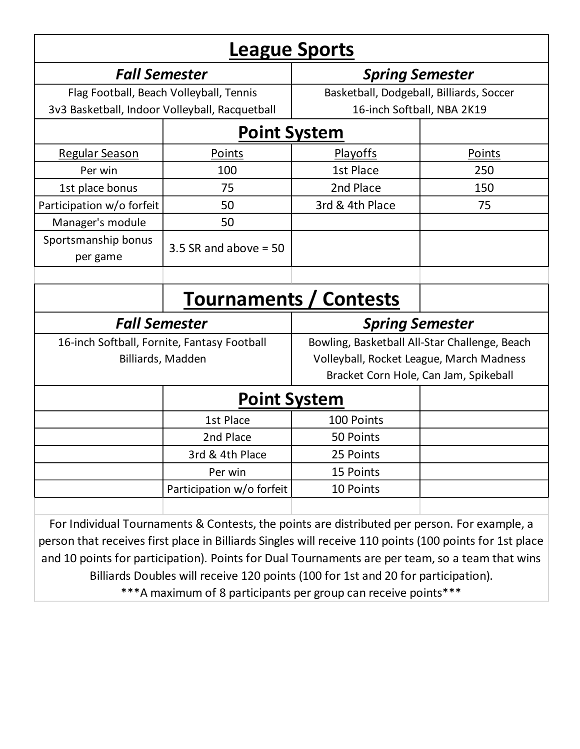| <b>League Sports</b>                           |                                                                                                         |                                               |               |  |  |
|------------------------------------------------|---------------------------------------------------------------------------------------------------------|-----------------------------------------------|---------------|--|--|
| <b>Fall Semester</b>                           |                                                                                                         | <b>Spring Semester</b>                        |               |  |  |
| Flag Football, Beach Volleyball, Tennis        |                                                                                                         | Basketball, Dodgeball, Billiards, Soccer      |               |  |  |
| 3v3 Basketball, Indoor Volleyball, Racquetball |                                                                                                         | 16-inch Softball, NBA 2K19                    |               |  |  |
|                                                | <b>Point System</b>                                                                                     |                                               |               |  |  |
| Regular Season                                 | Points                                                                                                  | <b>Playoffs</b>                               | <b>Points</b> |  |  |
| Per win                                        | 100                                                                                                     | 1st Place                                     | 250           |  |  |
| 1st place bonus                                | 75                                                                                                      | 2nd Place                                     | 150           |  |  |
| Participation w/o forfeit                      | 50                                                                                                      | 3rd & 4th Place                               | 75            |  |  |
| Manager's module                               | 50                                                                                                      |                                               |               |  |  |
| Sportsmanship bonus<br>per game                | 3.5 SR and above $=$ 50                                                                                 |                                               |               |  |  |
|                                                |                                                                                                         |                                               |               |  |  |
|                                                | <b>Tournaments / Contests</b>                                                                           |                                               |               |  |  |
| <b>Fall Semester</b>                           |                                                                                                         | <b>Spring Semester</b>                        |               |  |  |
| 16-inch Softball, Fornite, Fantasy Football    |                                                                                                         | Bowling, Basketball All-Star Challenge, Beach |               |  |  |
| Billiards, Madden                              |                                                                                                         | Volleyball, Rocket League, March Madness      |               |  |  |
|                                                |                                                                                                         | Bracket Corn Hole, Can Jam, Spikeball         |               |  |  |
| <b>Point System</b>                            |                                                                                                         |                                               |               |  |  |
|                                                |                                                                                                         |                                               |               |  |  |
|                                                | 1st Place                                                                                               | 100 Points                                    |               |  |  |
|                                                | 2nd Place                                                                                               | 50 Points                                     |               |  |  |
|                                                | 3rd & 4th Place                                                                                         | 25 Points                                     |               |  |  |
|                                                | Per win                                                                                                 | 15 Points                                     |               |  |  |
|                                                | Participation w/o forfeit                                                                               | 10 Points                                     |               |  |  |
|                                                |                                                                                                         |                                               |               |  |  |
|                                                | For Individual Tournaments & Contests, the points are distributed per person. For example, a            |                                               |               |  |  |
|                                                | person that receives first place in Billiards Singles will receive 110 points (100 points for 1st place |                                               |               |  |  |
|                                                | and 10 points for participation). Points for Dual Tournaments are per team, so a team that wins         |                                               |               |  |  |

\*\*\*A maximum of 8 participants per group can receive points\*\*\*